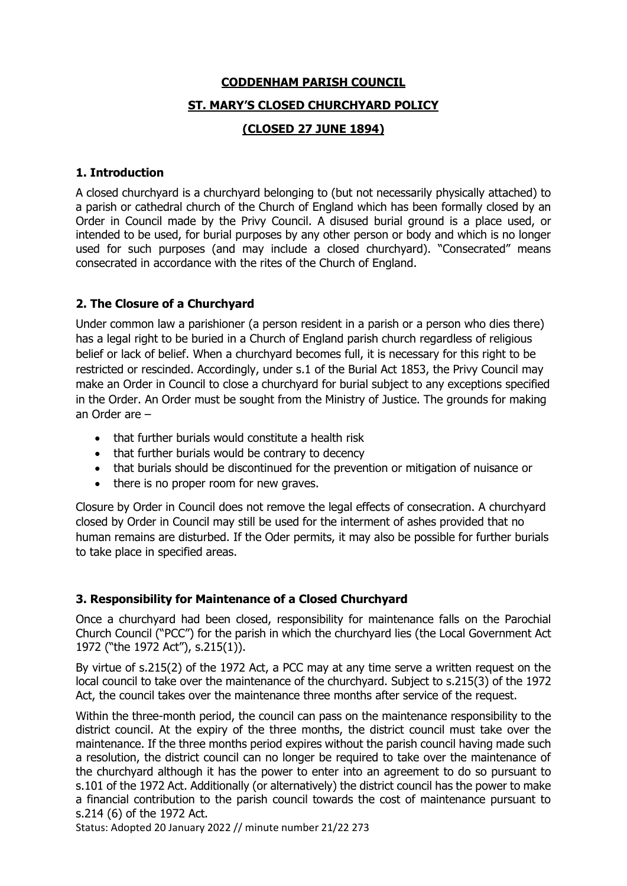### **CODDENHAM PARISH COUNCIL**

### **ST. MARY'S CLOSED CHURCHYARD POLICY**

## **(CLOSED 27 JUNE 1894)**

#### **1. Introduction**

A closed churchyard is a churchyard belonging to (but not necessarily physically attached) to a parish or cathedral church of the Church of England which has been formally closed by an Order in Council made by the Privy Council. A disused burial ground is a place used, or intended to be used, for burial purposes by any other person or body and which is no longer used for such purposes (and may include a closed churchyard). "Consecrated" means consecrated in accordance with the rites of the Church of England.

# **2. The Closure of a Churchyard**

Under common law a parishioner (a person resident in a parish or a person who dies there) has a legal right to be buried in a Church of England parish church regardless of religious belief or lack of belief. When a churchyard becomes full, it is necessary for this right to be restricted or rescinded. Accordingly, under s.1 of the Burial Act 1853, the Privy Council may make an Order in Council to close a churchyard for burial subject to any exceptions specified in the Order. An Order must be sought from the Ministry of Justice. The grounds for making an Order are –

- that further burials would constitute a health risk
- that further burials would be contrary to decency
- that burials should be discontinued for the prevention or mitigation of nuisance or
- there is no proper room for new graves.

Closure by Order in Council does not remove the legal effects of consecration. A churchyard closed by Order in Council may still be used for the interment of ashes provided that no human remains are disturbed. If the Oder permits, it may also be possible for further burials to take place in specified areas.

## **3. Responsibility for Maintenance of a Closed Churchyard**

Once a churchyard had been closed, responsibility for maintenance falls on the Parochial Church Council ("PCC") for the parish in which the churchyard lies (the Local Government Act 1972 ("the 1972 Act"), s.215(1)).

By virtue of s.215(2) of the 1972 Act, a PCC may at any time serve a written request on the local council to take over the maintenance of the churchyard. Subject to s.215(3) of the 1972 Act, the council takes over the maintenance three months after service of the request.

Within the three-month period, the council can pass on the maintenance responsibility to the district council. At the expiry of the three months, the district council must take over the maintenance. If the three months period expires without the parish council having made such a resolution, the district council can no longer be required to take over the maintenance of the churchyard although it has the power to enter into an agreement to do so pursuant to s.101 of the 1972 Act. Additionally (or alternatively) the district council has the power to make a financial contribution to the parish council towards the cost of maintenance pursuant to s.214 (6) of the 1972 Act.

Status: Adopted 20 January 2022 // minute number 21/22 273